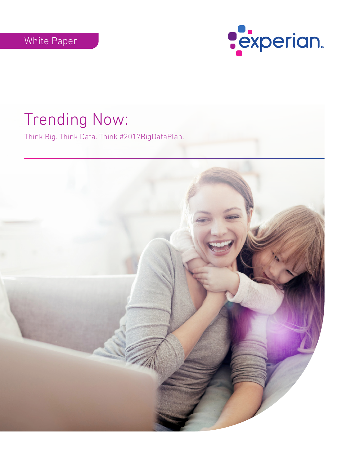

# Trending Now:

Think Big. Think Data. Think #2017BigDataPlan.

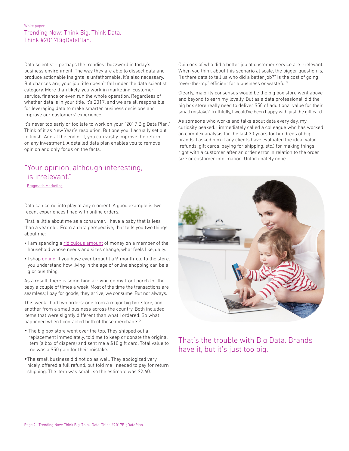#### White paper Trending Now: Think Big. Think Data. Think #2017BigDataPlan.

Data scientist – perhaps the trendiest buzzword in today's business environment. The way they are able to dissect data and produce actionable insights is unfathomable. It's also necessary. But chances are, your job title doesn't fall under the data scientist category. More than likely, you work in marketing, customer service, finance or even run the whole operation. Regardless of whether data is in your title, it's 2017, and we are all responsible for leveraging data to make smarter business decisions and improve our customers' experience.

It's never too early or too late to work on your "2017 Big Data Plan." Think of it as New Year's resolution. But one you'll actually set out to finish. And at the end of it, you can vastly improve the return on any investment. A detailed data plan enables you to remove opinion and only focus on the facts.

### "Your opinion, although interesting, is irrelevant."

- [Pragmatic Marketing](http://pragmaticmarketing.com/resources/maybe-your-opinion-is-relevant)

Data can come into play at any moment. A good example is two recent experiences I had with online orders.

First, a little about me as a consumer. I have a baby that is less than a year old. From a data perspective, that tells you two things about me:

- I am spending a [ridiculous amount](http://bloomreach.com/2016/03/lessons-from-digital-moms/) of money on a member of the household whose needs and sizes change, what feels like, daily.
- I shop [online](http://www.bigspaceship.com/marketing-to-moms/). If you have ever brought a 9-month-old to the store, you understand how living in the age of online shopping can be a glorious thing.

As a result, there is something arriving on my front porch for the baby a couple of times a week. Most of the time the transactions are seamless; I pay for goods, they arrive, we consume. But not always.

This week I had two orders: one from a major big box store, and another from a small business across the country. Both included items that were slightly different than what I ordered. So what happened when I contacted both of these merchants?

- **•** The big box store went over the top. They shipped out a replacement immediately, told me to keep or donate the original item (a box of diapers) and sent me a \$10 gift card. Total value to me was a \$50 gain for their mistake.
- **•**The small business did not do as well. They apologized very nicely, offered a full refund, but told me I needed to pay for return shipping. The item was small, so the estimate was \$2.60.

Opinions of who did a better job at customer service are irrelevant. When you think about this scenario at scale, the bigger question is, "Is there data to tell us who did a better job?" Is the cost of going "over-the-top" efficient for a business or wasteful?

Clearly, majority consensus would be the big box store went above and beyond to earn my loyalty. But as a data professional, did the big box store really need to deliver \$50 of additional value for their small mistake? Truthfully, I would've been happy with just the gift card.

As someone who works and talks about data every day, my curiosity peaked. I immediately called a colleague who has worked on complex analysis for the last 30 years for hundreds of big brands. I asked him if any clients have evaluated the ideal value (refunds, gift cards, paying for shipping, etc.) for making things right with a customer after an order error in relation to the order size or customer information. Unfortunately none.



That's the trouble with Big Data. Brands have it, but it's just too big.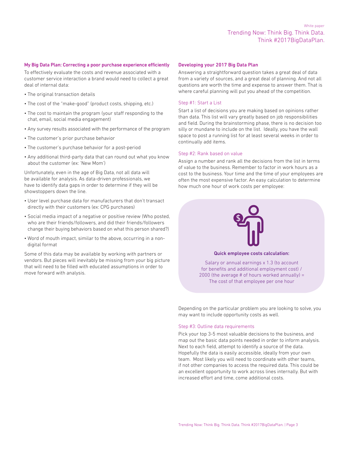#### My Big Data Plan: Correcting a poor purchase experience efficiently

To effectively evaluate the costs and revenue associated with a customer service interaction a brand would need to collect a great deal of internal data:

- The original transaction details
- The cost of the "make-good" (product costs, shipping, etc.)
- The cost to maintain the program (your staff responding to the chat, email, social media engagement)
- Any survey results associated with the performance of the program
- The customer's prior purchase behavior
- The customer's purchase behavior for a post-period
- Any additional third-party data that can round out what you know about the customer (ex: 'New Mom')

Unfortunately, even in the age of Big Data, not all data will be available for analysis. As data-driven professionals, we have to identify data gaps in order to determine if they will be showstoppers down the line.

- User level purchase data for manufacturers that don't transact directly with their customers (ex: CPG purchases)
- Social media impact of a negative or positive review (Who posted, who are their friends/followers, and did their friends/followers change their buying behaviors based on what this person shared?)
- Word of mouth impact, similar to the above, occurring in a nondigital format

Some of this data may be available by working with partners or vendors. But pieces will inevitably be missing from your big picture that will need to be filled with educated assumptions in order to move forward with analysis.

#### Developing your 2017 Big Data Plan

Answering a straightforward question takes a great deal of data from a variety of sources, and a great deal of planning. And not all questions are worth the time and expense to answer them. That is where careful planning will put you ahead of the competition.

#### Step #1: Start a List

Start a list of decisions you are making based on opinions rather than data. This list will vary greatly based on job responsibilities and field. During the brainstorming phase, there is no decision too silly or mundane to include on the list. Ideally, you have the wall space to post a running list for at least several weeks in order to continually add items.

#### Step #2: Rank based on value

Assign a number and rank all the decisions from the list in terms of value to the business. Remember to factor in work hours as a cost to the business. Your time and the time of your employees are often the most expensive factor. An easy calculation to determine how much one hour of work costs per employee:



#### Quick employee costs calculation:

Salary or annual earnings x 1.3 (to account for benefits and additional employment cost) / 2000 (the average # of hours worked annually) = The cost of that employee per one hour

Depending on the particular problem you are looking to solve, you may want to include opportunity costs as well.

#### Step #3: Outline data requirements

Pick your top 3-5 most valuable decisions to the business, and map out the basic data points needed in order to inform analysis. Next to each field, attempt to identify a source of the data. Hopefully the data is easily accessible, ideally from your own team. Most likely you will need to coordinate with other teams, if not other companies to access the required data. This could be an excellent opportunity to work across lines internally. But with increased effort and time, come additional costs.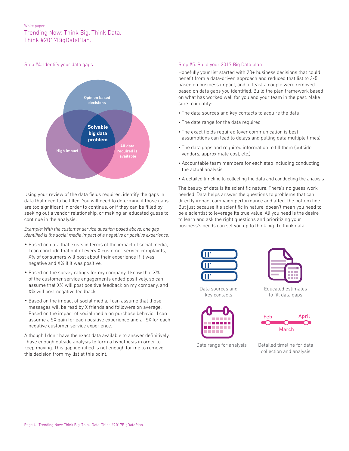#### White paper

#### Trending Now: Think Big. Think Data. Think #2017BigDataPlan.

#### Step #4: Identify your data gaps



Using your review of the data fields required, identify the gaps in data that need to be filled. You will need to determine if those gaps are too significant in order to continue, or if they can be filled by seeking out a vendor relationship, or making an educated guess to continue in the analysis.

*Example: With the customer service question posed above, one gap identified is the social media impact of a negative or positive experience.* 

- **•** Based on data that exists in terms of the impact of social media, I can conclude that out of every X customer service complaints, X% of consumers will post about their experience if it was negative and X% if it was positive.
- **•** Based on the survey ratings for my company, I know that X% of the customer service engagements ended positively, so can assume that X% will post positive feedback on my company, and X% will post negative feedback.
- **•** Based on the impact of social media, I can assume that those messages will be read by X friends and followers on average. Based on the impact of social media on purchase behavior I can assume a \$X gain for each positive experience and a -\$X for each negative customer service experience.

Although I don't have the exact data available to answer definitively, I have enough outside analysis to form a hypothesis in order to keep moving. This gap identified is not enough for me to remove this decision from my list at this point.

#### Step #5: Build your 2017 Big Data plan

Hopefully your list started with 20+ business decisions that could benefit from a data-driven approach and reduced that list to 3-5 based on business impact, and at least a couple were removed based on data gaps you identified. Build the plan framework based on what has worked well for you and your team in the past. Make sure to identify:

- The data sources and key contacts to acquire the data
- The date range for the data required
- The exact fields required (over communication is best assumptions can lead to delays and pulling data multiple times)
- The data gaps and required information to fill them (outside vendors, approximate cost, etc.)
- Accountable team members for each step including conducting the actual analysis
- A detailed timeline to collecting the data and conducting the analysis

The beauty of data is its scientific nature. There's no guess work needed. Data helps answer the questions to problems that can directly impact campaign performance and affect the bottom line. But just because it's scientific in nature, doesn't mean you need to be a scientist to leverage its true value. All you need is the desire to learn and ask the right questions and prioritizing your business's needs can set you up to think big. To think data.



Data sources and key contacts





Educated estimates to fill data gaps



Date range for analysis Detailed timeline for data

collection and analysis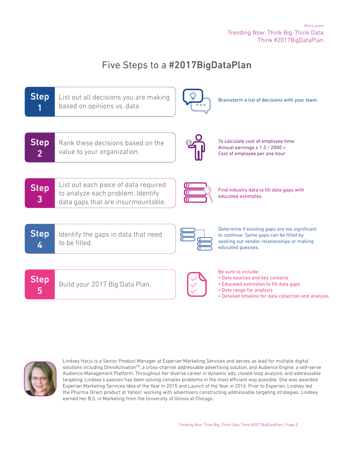## Five Steps to a #2017BigDataPlan





Lindsey Harju is a Senior Product Manager at Experian Marketing Services and serves as lead for multiple digital solutions including OmniActivation<sup>™</sup>, a cross-channel addressable advertising solution, and Audience Engine, a self-serve Audience Management Platform. Throughout her diverse career in dynamic ads, closed-loop analysis, and addressable targeting, Lindsey's passion has been solving complex problems in the most efficient way possible. She was awarded Experian Marketing Services Idea of the Year in 2015 and Launch of the Year in 2016. Prior to Experian, Lindsey led the Pharma Direct product at Yahoo!, working with advertisers constructing addressable targeting strategies. Lindsey earned her B.S. in Marketing from the University of Illinois at Chicago.